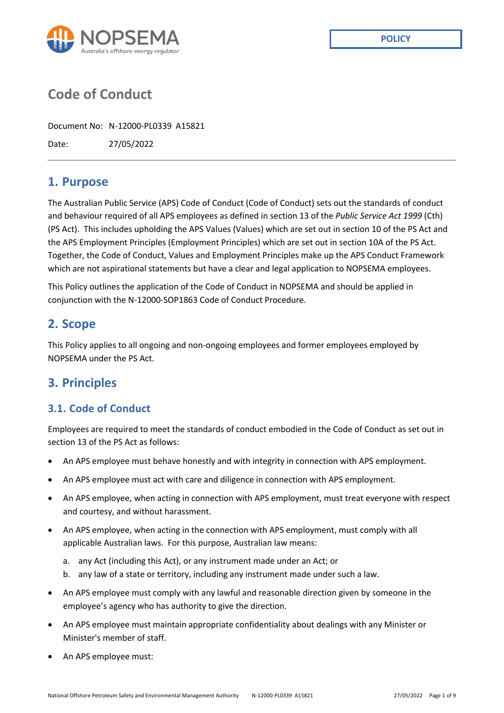

# **Code of Conduct**

Document No: N-12000-PL0339 A15821 Date: 27/05/2022

# **1. Purpose**

The Australian Public Service (APS) Code of Conduct (Code of Conduct) sets out the standards of conduct and behaviour required of all APS employees as defined in section 13 of the *Public Service Act 1999* (Cth) (PS Act). This includes upholding the APS Values (Values) which are set out in section 10 of the PS Act and the APS Employment Principles (Employment Principles) which are set out in section 10A of the PS Act. Together, the Code of Conduct, Values and Employment Principles make up the APS Conduct Framework which are not aspirational statements but have a clear and legal application to NOPSEMA employees.

This Policy outlines the application of the Code of Conduct in NOPSEMA and should be applied in conjunction with the N-12000-SOP1863 Code of Conduct Procedure.

## **2. Scope**

This Policy applies to all ongoing and non-ongoing employees and former employees employed by NOPSEMA under the PS Act.

# **3. Principles**

## **3.1. Code of Conduct**

Employees are required to meet the standards of conduct embodied in the Code of Conduct as set out in section 13 of the PS Act as follows:

- An APS employee must behave honestly and with integrity in connection with APS employment.
- An APS employee must act with care and diligence in connection with APS employment.
- An APS employee, when acting in connection with APS employment, must treat everyone with respect and courtesy, and without harassment.
- An APS employee, when acting in the connection with APS employment, must comply with all applicable Australian laws. For this purpose, Australian law means:
	- a. any Act (including this Act), or any instrument made under an Act; or
	- b. any law of a state or territory, including any instrument made under such a law.
- An APS employee must comply with any lawful and reasonable direction given by someone in the employee's agency who has authority to give the direction.
- An APS employee must maintain appropriate confidentiality about dealings with any Minister or Minister's member of staff.
- An APS employee must: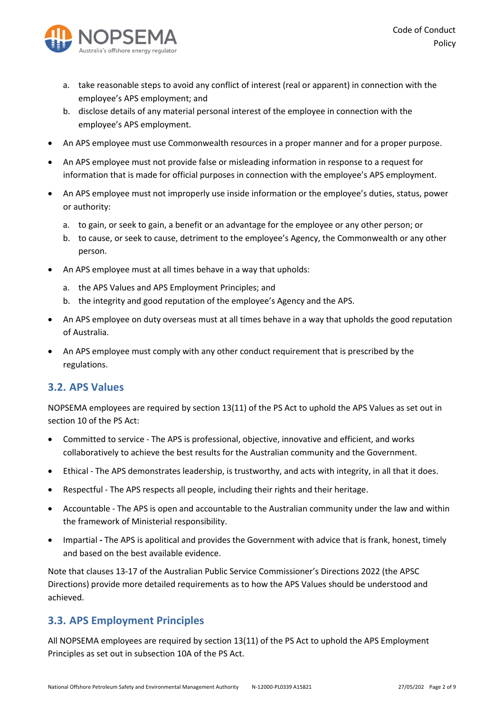

- a. take reasonable steps to avoid any conflict of interest (real or apparent) in connection with the employee's APS employment; and
- b. disclose details of any material personal interest of the employee in connection with the employee's APS employment.
- An APS employee must use Commonwealth resources in a proper manner and for a proper purpose.
- An APS employee must not provide false or misleading information in response to a request for information that is made for official purposes in connection with the employee's APS employment.
- An APS employee must not improperly use inside information or the employee's duties, status, power or authority:
	- a. to gain, or seek to gain, a benefit or an advantage for the employee or any other person; or
	- b. to cause, or seek to cause, detriment to the employee's Agency, the Commonwealth or any other person.
- An APS employee must at all times behave in a way that upholds:
	- a. the APS Values and APS Employment Principles; and
	- b. the integrity and good reputation of the employee's Agency and the APS.
- An APS employee on duty overseas must at all times behave in a way that upholds the good reputation of Australia.
- An APS employee must comply with any other conduct requirement that is prescribed by the regulations.

## **3.2. APS Values**

NOPSEMA employees are required by section 13(11) of the PS Act to uphold the APS Values as set out in section 10 of the PS Act:

- Committed to service The APS is professional, objective, innovative and efficient, and works collaboratively to achieve the best results for the Australian community and the Government.
- Ethical The APS demonstrates leadership, is trustworthy, and acts with integrity, in all that it does.
- Respectful The APS respects all people, including their rights and their heritage.
- Accountable The APS is open and accountable to the Australian community under the law and within the framework of Ministerial responsibility.
- Impartial **-** The APS is apolitical and provides the Government with advice that is frank, honest, timely and based on the best available evidence.

Note that clauses 13-17 of the Australian Public Service Commissioner's Directions 2022 (the APSC Directions) provide more detailed requirements as to how the APS Values should be understood and achieved.

## **3.3. APS Employment Principles**

All NOPSEMA employees are required by section 13(11) of the PS Act to uphold the APS Employment Principles as set out in subsection 10A of the PS Act.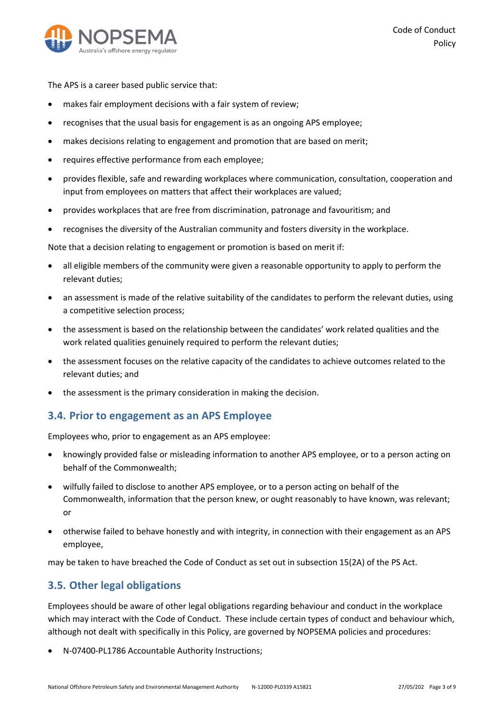

The APS is a career based public service that:

- makes fair employment decisions with a fair system of review;
- recognises that the usual basis for engagement is as an ongoing APS employee;
- makes decisions relating to engagement and promotion that are based on merit;
- requires effective performance from each employee;
- provides flexible, safe and rewarding workplaces where communication, consultation, cooperation and input from employees on matters that affect their workplaces are valued;
- provides workplaces that are free from discrimination, patronage and favouritism; and
- recognises the diversity of the Australian community and fosters diversity in the workplace.

Note that a decision relating to engagement or promotion is based on merit if:

- all eligible members of the community were given a reasonable opportunity to apply to perform the relevant duties;
- an assessment is made of the relative suitability of the candidates to perform the relevant duties, using a competitive selection process;
- the assessment is based on the relationship between the candidates' work related qualities and the work related qualities genuinely required to perform the relevant duties;
- the assessment focuses on the relative capacity of the candidates to achieve outcomes related to the relevant duties; and
- the assessment is the primary consideration in making the decision.

#### **3.4. Prior to engagement as an APS Employee**

Employees who, prior to engagement as an APS employee:

- knowingly provided false or misleading information to another APS employee, or to a person acting on behalf of the Commonwealth;
- wilfully failed to disclose to another APS employee, or to a person acting on behalf of the Commonwealth, information that the person knew, or ought reasonably to have known, was relevant; or
- otherwise failed to behave honestly and with integrity, in connection with their engagement as an APS employee,

may be taken to have breached the Code of Conduct as set out in subsection 15(2A) of the PS Act.

#### **3.5. Other legal obligations**

Employees should be aware of other legal obligations regarding behaviour and conduct in the workplace which may interact with the Code of Conduct. These include certain types of conduct and behaviour which, although not dealt with specifically in this Policy, are governed by NOPSEMA policies and procedures:

N-07400-PL1786 Accountable Authority Instructions;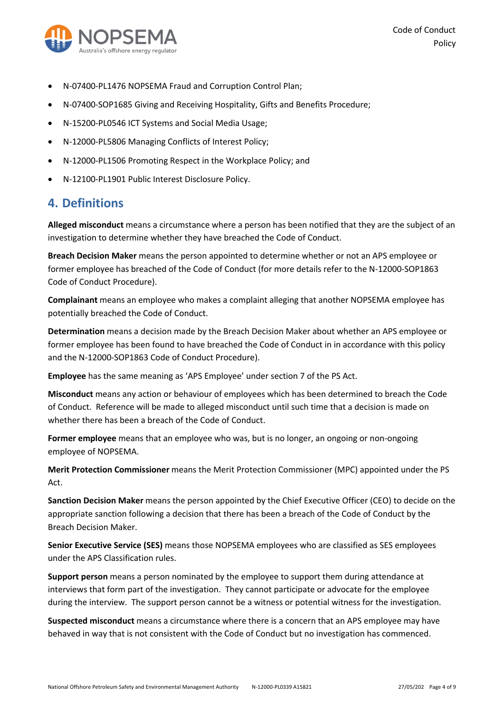

- N-07400-PL1476 NOPSEMA Fraud and Corruption Control Plan;
- N-07400-SOP1685 Giving and Receiving Hospitality, Gifts and Benefits Procedure;
- N-15200-PL0546 ICT Systems and Social Media Usage;
- N-12000-PL5806 Managing Conflicts of Interest Policy;
- N-12000-PL1506 Promoting Respect in the Workplace Policy; and
- N-12100-PL1901 Public Interest Disclosure Policy.

# **4. Definitions**

**Alleged misconduct** means a circumstance where a person has been notified that they are the subject of an investigation to determine whether they have breached the Code of Conduct.

**Breach Decision Maker** means the person appointed to determine whether or not an APS employee or former employee has breached of the Code of Conduct (for more details refer to the N-12000-SOP1863 Code of Conduct Procedure).

**Complainant** means an employee who makes a complaint alleging that another NOPSEMA employee has potentially breached the Code of Conduct.

**Determination** means a decision made by the Breach Decision Maker about whether an APS employee or former employee has been found to have breached the Code of Conduct in in accordance with this policy and the N-12000-SOP1863 Code of Conduct Procedure).

**Employee** has the same meaning as 'APS Employee' under section 7 of the PS Act.

**Misconduct** means any action or behaviour of employees which has been determined to breach the Code of Conduct. Reference will be made to alleged misconduct until such time that a decision is made on whether there has been a breach of the Code of Conduct.

**Former employee** means that an employee who was, but is no longer, an ongoing or non-ongoing employee of NOPSEMA.

**Merit Protection Commissioner** means the Merit Protection Commissioner (MPC) appointed under the PS Act.

**Sanction Decision Maker** means the person appointed by the Chief Executive Officer (CEO) to decide on the appropriate sanction following a decision that there has been a breach of the Code of Conduct by the Breach Decision Maker.

**Senior Executive Service (SES)** means those NOPSEMA employees who are classified as SES employees under the APS Classification rules.

**Support person** means a person nominated by the employee to support them during attendance at interviews that form part of the investigation. They cannot participate or advocate for the employee during the interview. The support person cannot be a witness or potential witness for the investigation.

**Suspected misconduct** means a circumstance where there is a concern that an APS employee may have behaved in way that is not consistent with the Code of Conduct but no investigation has commenced.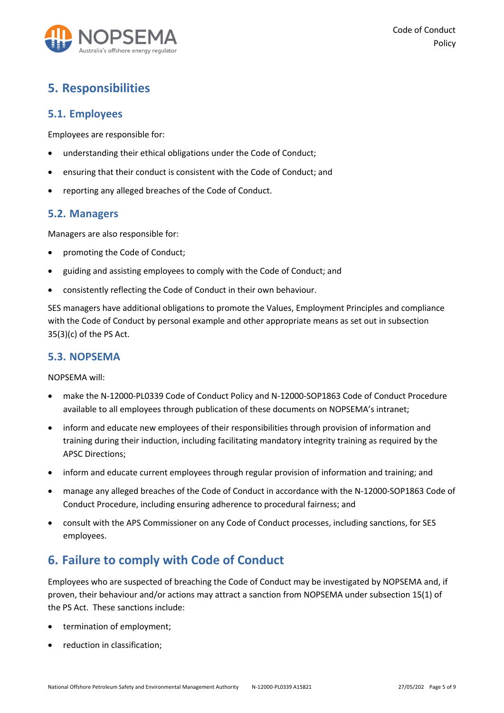

# **5. Responsibilities**

#### **5.1. Employees**

Employees are responsible for:

- understanding their ethical obligations under the Code of Conduct;
- ensuring that their conduct is consistent with the Code of Conduct; and
- reporting any alleged breaches of the Code of Conduct.

#### **5.2. Managers**

Managers are also responsible for:

- promoting the Code of Conduct;
- guiding and assisting employees to comply with the Code of Conduct; and
- consistently reflecting the Code of Conduct in their own behaviour.

SES managers have additional obligations to promote the Values, Employment Principles and compliance with the Code of Conduct by personal example and other appropriate means as set out in subsection 35(3)(c) of the PS Act.

#### **5.3. NOPSEMA**

NOPSEMA will:

- make the N-12000-PL0339 Code of Conduct Policy and N-12000-SOP1863 Code of Conduct Procedure available to all employees through publication of these documents on NOPSEMA's intranet;
- inform and educate new employees of their responsibilities through provision of information and training during their induction, including facilitating mandatory integrity training as required by the APSC Directions;
- inform and educate current employees through regular provision of information and training; and
- manage any alleged breaches of the Code of Conduct in accordance with the N-12000-SOP1863 Code of Conduct Procedure, including ensuring adherence to procedural fairness; and
- consult with the APS Commissioner on any Code of Conduct processes, including sanctions, for SES employees.

# **6. Failure to comply with Code of Conduct**

Employees who are suspected of breaching the Code of Conduct may be investigated by NOPSEMA and, if proven, their behaviour and/or actions may attract a sanction from NOPSEMA under subsection 15(1) of the PS Act. These sanctions include:

- termination of employment;
- reduction in classification;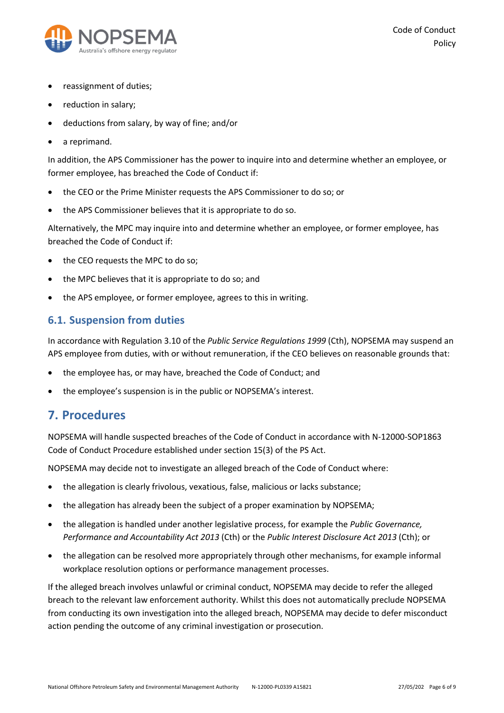

- reassignment of duties;
- reduction in salary;
- deductions from salary, by way of fine; and/or
- a reprimand.

In addition, the APS Commissioner has the power to inquire into and determine whether an employee, or former employee, has breached the Code of Conduct if:

- the CEO or the Prime Minister requests the APS Commissioner to do so; or
- the APS Commissioner believes that it is appropriate to do so.

Alternatively, the MPC may inquire into and determine whether an employee, or former employee, has breached the Code of Conduct if:

- the CEO requests the MPC to do so;
- the MPC believes that it is appropriate to do so; and
- the APS employee, or former employee, agrees to this in writing.

### **6.1. Suspension from duties**

In accordance with Regulation 3.10 of the *Public Service Regulations 1999* (Cth), NOPSEMA may suspend an APS employee from duties, with or without remuneration, if the CEO believes on reasonable grounds that:

- the employee has, or may have, breached the Code of Conduct; and
- the employee's suspension is in the public or NOPSEMA's interest.

## **7. Procedures**

NOPSEMA will handle suspected breaches of the Code of Conduct in accordance with N-12000-SOP1863 Code of Conduct Procedure established under section 15(3) of the PS Act.

NOPSEMA may decide not to investigate an alleged breach of the Code of Conduct where:

- the allegation is clearly frivolous, vexatious, false, malicious or lacks substance;
- the allegation has already been the subject of a proper examination by NOPSEMA;
- the allegation is handled under another legislative process, for example the *Public Governance, Performance and Accountability Act 2013* (Cth) or the *Public Interest Disclosure Act 2013* (Cth); or
- the allegation can be resolved more appropriately through other mechanisms, for example informal workplace resolution options or performance management processes.

If the alleged breach involves unlawful or criminal conduct, NOPSEMA may decide to refer the alleged breach to the relevant law enforcement authority. Whilst this does not automatically preclude NOPSEMA from conducting its own investigation into the alleged breach, NOPSEMA may decide to defer misconduct action pending the outcome of any criminal investigation or prosecution.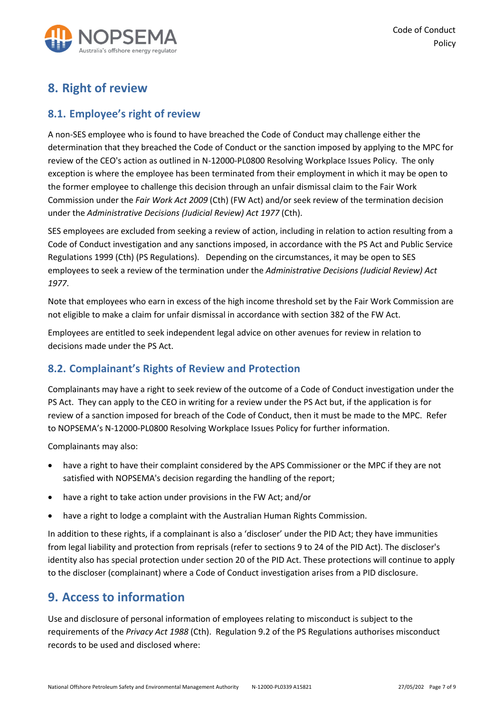

# **8. Right of review**

### **8.1. Employee's right of review**

A non-SES employee who is found to have breached the Code of Conduct may challenge either the determination that they breached the Code of Conduct or the sanction imposed by applying to the MPC for review of the CEO's action as outlined in N-12000-PL0800 Resolving Workplace Issues Policy. The only exception is where the employee has been terminated from their employment in which it may be open to the former employee to challenge this decision through an unfair dismissal claim to the Fair Work Commission under the *Fair Work Act 2009* (Cth) (FW Act) and/or seek review of the termination decision under the *Administrative Decisions (Judicial Review) Act 1977* (Cth).

SES employees are excluded from seeking a review of action, including in relation to action resulting from a Code of Conduct investigation and any sanctions imposed, in accordance with the PS Act and Public Service Regulations 1999 (Cth) (PS Regulations). Depending on the circumstances, it may be open to SES employees to seek a review of the termination under the *Administrative Decisions (Judicial Review) Act 1977*.

Note that employees who earn in excess of the high income threshold set by the Fair Work Commission are not eligible to make a claim for unfair dismissal in accordance with section 382 of the FW Act.

Employees are entitled to seek independent legal advice on other avenues for review in relation to decisions made under the PS Act.

## **8.2. Complainant's Rights of Review and Protection**

Complainants may have a right to seek review of the outcome of a Code of Conduct investigation under the PS Act. They can apply to the CEO in writing for a review under the PS Act but, if the application is for review of a sanction imposed for breach of the Code of Conduct, then it must be made to the MPC. Refer to NOPSEMA's N-12000-PL0800 Resolving Workplace Issues Policy for further information.

Complainants may also:

- have a right to have their complaint considered by the APS Commissioner or the MPC if they are not satisfied with NOPSEMA's decision regarding the handling of the report;
- have a right to take action under provisions in the FW Act; and/or
- have a right to lodge a complaint with the Australian Human Rights Commission.

In addition to these rights, if a complainant is also a 'discloser' under the PID Act; they have immunities from legal liability and protection from reprisals (refer to sections 9 to 24 of the PID Act). The discloser's identity also has special protection under section 20 of the PID Act. These protections will continue to apply to the discloser (complainant) where a Code of Conduct investigation arises from a PID disclosure.

## **9. Access to information**

Use and disclosure of personal information of employees relating to misconduct is subject to the requirements of the *Privacy Act 1988* (Cth). Regulation 9.2 of the PS Regulations authorises misconduct records to be used and disclosed where: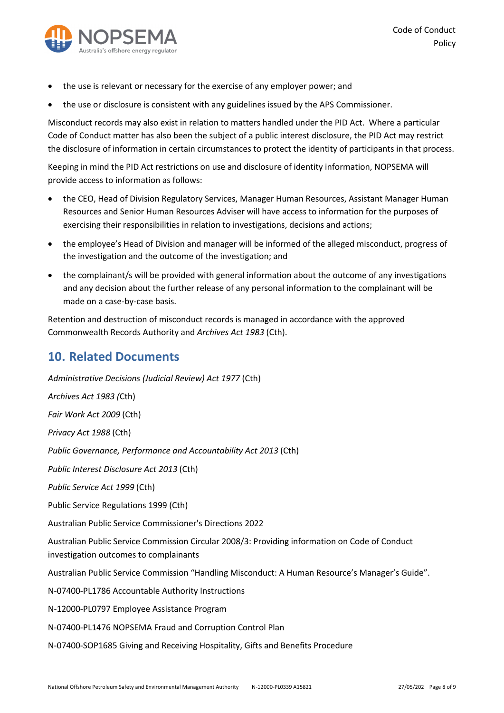

- the use is relevant or necessary for the exercise of any employer power; and
- the use or disclosure is consistent with any guidelines issued by the APS Commissioner.

Misconduct records may also exist in relation to matters handled under the PID Act. Where a particular Code of Conduct matter has also been the subject of a public interest disclosure, the PID Act may restrict the disclosure of information in certain circumstances to protect the identity of participants in that process.

Keeping in mind the PID Act restrictions on use and disclosure of identity information, NOPSEMA will provide access to information as follows:

- the CEO, Head of Division Regulatory Services, Manager Human Resources, Assistant Manager Human Resources and Senior Human Resources Adviser will have access to information for the purposes of exercising their responsibilities in relation to investigations, decisions and actions;
- the employee's Head of Division and manager will be informed of the alleged misconduct, progress of the investigation and the outcome of the investigation; and
- the complainant/s will be provided with general information about the outcome of any investigations and any decision about the further release of any personal information to the complainant will be made on a case-by-case basis.

Retention and destruction of misconduct records is managed in accordance with the approved Commonwealth Records Authority and *Archives Act 1983* (Cth).

# **10. Related Documents**

*Administrative Decisions (Judicial Review) Act 1977* (Cth) *Archives Act 1983 (*Cth) *Fair Work Act 2009* (Cth) *Privacy Act 1988* (Cth) *Public Governance, Performance and Accountability Act 2013* (Cth) *Public Interest Disclosure Act 2013* (Cth) *Public Service Act 1999* (Cth) Public Service Regulations 1999 (Cth) Australian Public Service Commissioner's Directions 2022 Australian Public Service Commission Circular 2008/3: Providing information on Code of Conduct investigation outcomes to complainants Australian Public Service Commission "Handling Misconduct: A Human Resource's Manager's Guide". N-07400-PL1786 Accountable Authority Instructions N-12000-PL0797 Employee Assistance Program N-07400-PL1476 NOPSEMA Fraud and Corruption Control Plan

N-07400-SOP1685 Giving and Receiving Hospitality, Gifts and Benefits Procedure